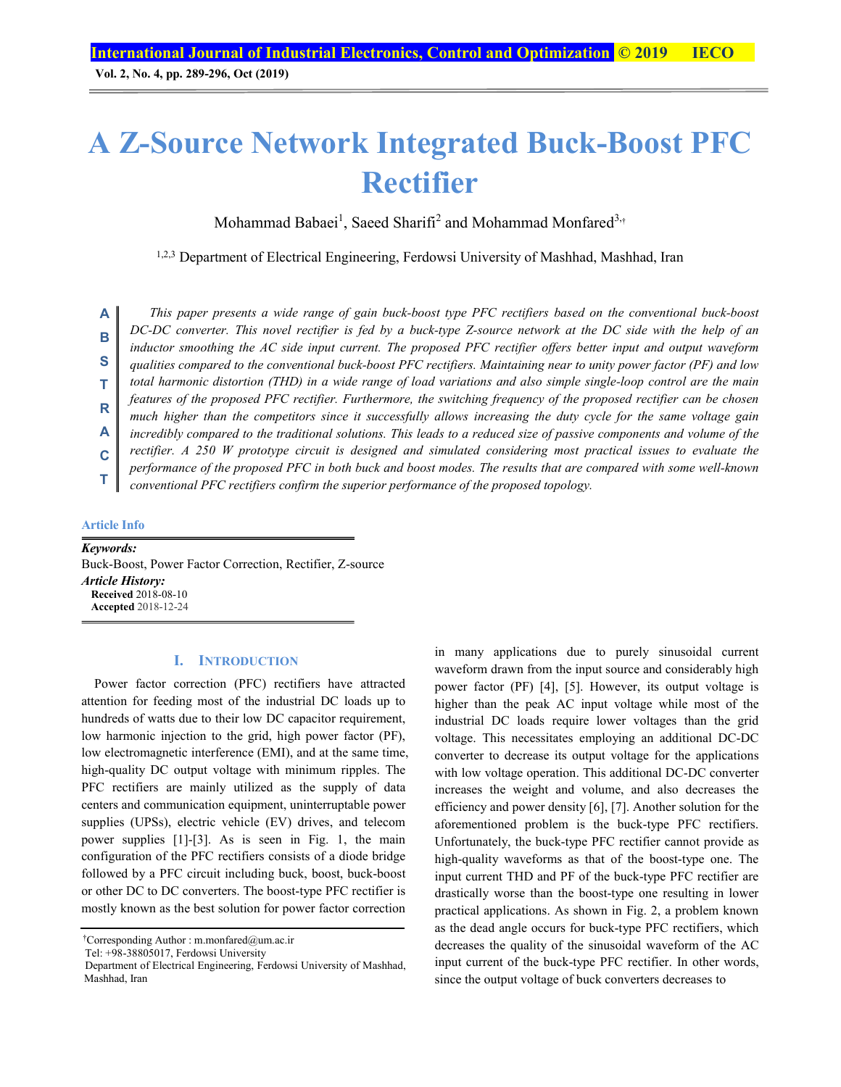**Vol. 2, No. 4, pp. 289-296, Oct (2019)**

# **A Z-Source Network Integrated Buck-Boost PFC Rectifier**

Mohammad Babaei<sup>1</sup>, Saeed Sharifi<sup>2</sup> and Mohammad Monfared<sup>3,†</sup>

1,2,3 Department of Electrical Engineering, Ferdowsi University of Mashhad, Mashhad, Iran

*This paper presents a wide range of gain buck-boost type PFC rectifiers based on the conventional buck-boost DC-DC converter. This novel rectifier is fed by a buck-type Z-source network at the DC side with the help of an inductor smoothing the AC side input current. The proposed PFC rectifier offers better input and output waveform qualities compared to the conventional buck-boost PFC rectifiers. Maintaining near to unity power factor (PF) and low total harmonic distortion (THD) in a wide range of load variations and also simple single-loop control are the main*  features of the proposed PFC rectifier. Furthermore, the switching frequency of the proposed rectifier can be chosen *much higher than the competitors since it successfully allows increasing the duty cycle for the same voltage gain incredibly compared to the traditional solutions. This leads to a reduced size of passive components and volume of the rectifier. A 250 W prototype circuit is designed and simulated considering most practical issues to evaluate the performance of the proposed PFC in both buck and boost modes. The results that are compared with some well-known conventional PFC rectifiers confirm the superior performance of the proposed topology.*  **A B S T R A C T**

#### **Article Info**

*Keywords:*  Buck-Boost, Power Factor Correction, Rectifier, Z-source *Article History:*  **Received** 2018-08-10 **Accepted** 2018-12-24

#### **I. INTRODUCTION**

Power factor correction (PFC) rectifiers have attracted attention for feeding most of the industrial DC loads up to hundreds of watts due to their low DC capacitor requirement, low harmonic injection to the grid, high power factor (PF), low electromagnetic interference (EMI), and at the same time, high-quality DC output voltage with minimum ripples. The PFC rectifiers are mainly utilized as the supply of data centers and communication equipment, uninterruptable power supplies (UPSs), electric vehicle (EV) drives, and telecom power supplies [1]-[3]. As is seen in Fig. 1, the main configuration of the PFC rectifiers consists of a diode bridge followed by a PFC circuit including buck, boost, buck-boost or other DC to DC converters. The boost-type PFC rectifier is mostly known as the best solution for power factor correction

Tel: +98-38805017, Ferdowsi University

in many applications due to purely sinusoidal current waveform drawn from the input source and considerably high power factor (PF) [4], [5]. However, its output voltage is higher than the peak AC input voltage while most of the industrial DC loads require lower voltages than the grid voltage. This necessitates employing an additional DC-DC converter to decrease its output voltage for the applications with low voltage operation. This additional DC-DC converter increases the weight and volume, and also decreases the efficiency and power density [6], [7]. Another solution for the aforementioned problem is the buck-type PFC rectifiers. Unfortunately, the buck-type PFC rectifier cannot provide as high-quality waveforms as that of the boost-type one. The input current THD and PF of the buck-type PFC rectifier are drastically worse than the boost-type one resulting in lower practical applications. As shown in Fig. 2, a problem known as the dead angle occurs for buck-type PFC rectifiers, which decreases the quality of the sinusoidal waveform of the AC input current of the buck-type PFC rectifier. In other words, since the output voltage of buck converters decreases to

<sup>†</sup> Corresponding Author : m.monfared@um.ac.ir

Department of Electrical Engineering, Ferdowsi University of Mashhad, Mashhad, Iran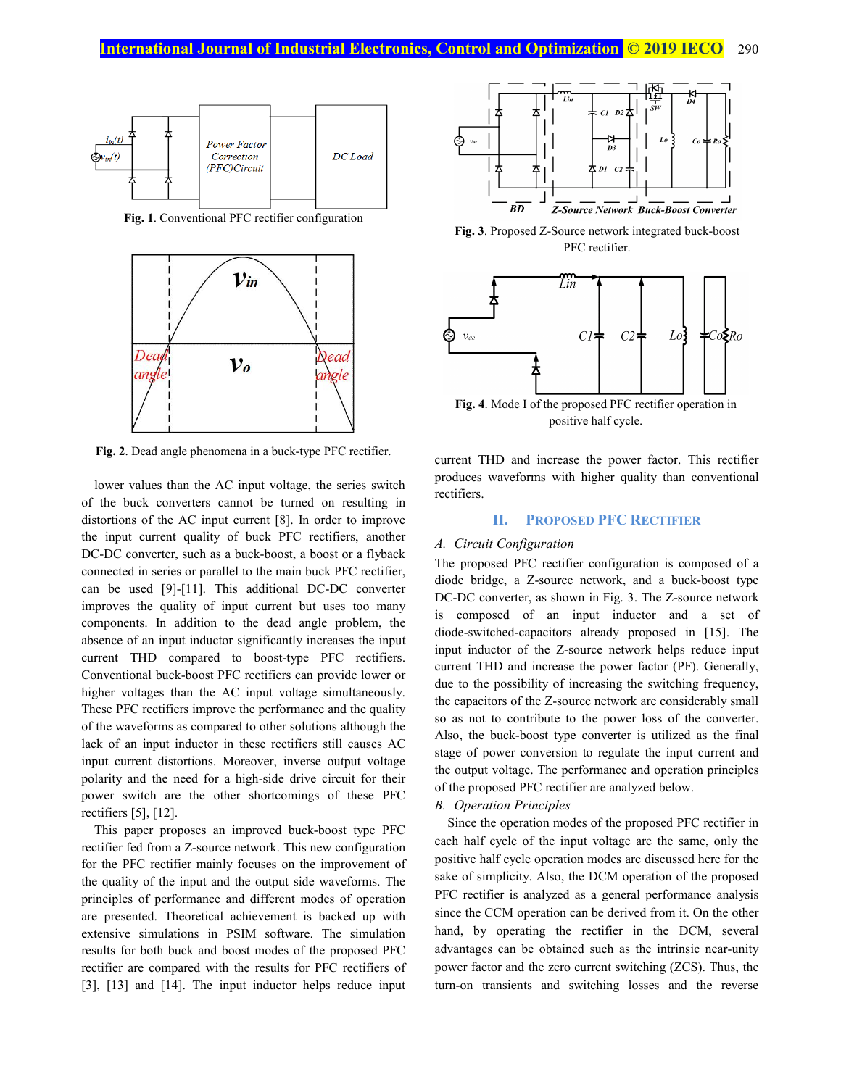

**Fig. 1**. Conventional PFC rectifier configuration



**Fig. 2**. Dead angle phenomena in a buck-type PFC rectifier.

lower values than the AC input voltage, the series switch of the buck converters cannot be turned on resulting in distortions of the AC input current [8]. In order to improve the input current quality of buck PFC rectifiers, another DC-DC converter, such as a buck-boost, a boost or a flyback connected in series or parallel to the main buck PFC rectifier, can be used [9]-[11]. This additional DC-DC converter improves the quality of input current but uses too many components. In addition to the dead angle problem, the absence of an input inductor significantly increases the input current THD compared to boost-type PFC rectifiers. Conventional buck-boost PFC rectifiers can provide lower or higher voltages than the AC input voltage simultaneously. These PFC rectifiers improve the performance and the quality of the waveforms as compared to other solutions although the lack of an input inductor in these rectifiers still causes AC input current distortions. Moreover, inverse output voltage polarity and the need for a high-side drive circuit for their power switch are the other shortcomings of these PFC rectifiers [5], [12].

This paper proposes an improved buck-boost type PFC rectifier fed from a Z-source network. This new configuration for the PFC rectifier mainly focuses on the improvement of the quality of the input and the output side waveforms. The principles of performance and different modes of operation are presented. Theoretical achievement is backed up with extensive simulations in PSIM software. The simulation results for both buck and boost modes of the proposed PFC rectifier are compared with the results for PFC rectifiers of [3], [13] and [14]. The input inductor helps reduce input



**Fig. 3**. Proposed Z-Source network integrated buck-boost PFC rectifier.



positive half cycle.

current THD and increase the power factor. This rectifier produces waveforms with higher quality than conventional rectifiers.

## **II. PROPOSED PFC RECTIFIER**

#### *A. Circuit Configuration*

The proposed PFC rectifier configuration is composed of a diode bridge, a Z-source network, and a buck-boost type DC-DC converter, as shown in Fig. 3. The Z-source network is composed of an input inductor and a set of diode-switched-capacitors already proposed in [15]. The input inductor of the Z-source network helps reduce input current THD and increase the power factor (PF). Generally, due to the possibility of increasing the switching frequency, the capacitors of the Z-source network are considerably small so as not to contribute to the power loss of the converter. Also, the buck-boost type converter is utilized as the final stage of power conversion to regulate the input current and the output voltage. The performance and operation principles of the proposed PFC rectifier are analyzed below.

#### *B. Operation Principles*

Since the operation modes of the proposed PFC rectifier in each half cycle of the input voltage are the same, only the positive half cycle operation modes are discussed here for the sake of simplicity. Also, the DCM operation of the proposed PFC rectifier is analyzed as a general performance analysis since the CCM operation can be derived from it. On the other hand, by operating the rectifier in the DCM, several advantages can be obtained such as the intrinsic near-unity power factor and the zero current switching (ZCS). Thus, the turn-on transients and switching losses and the reverse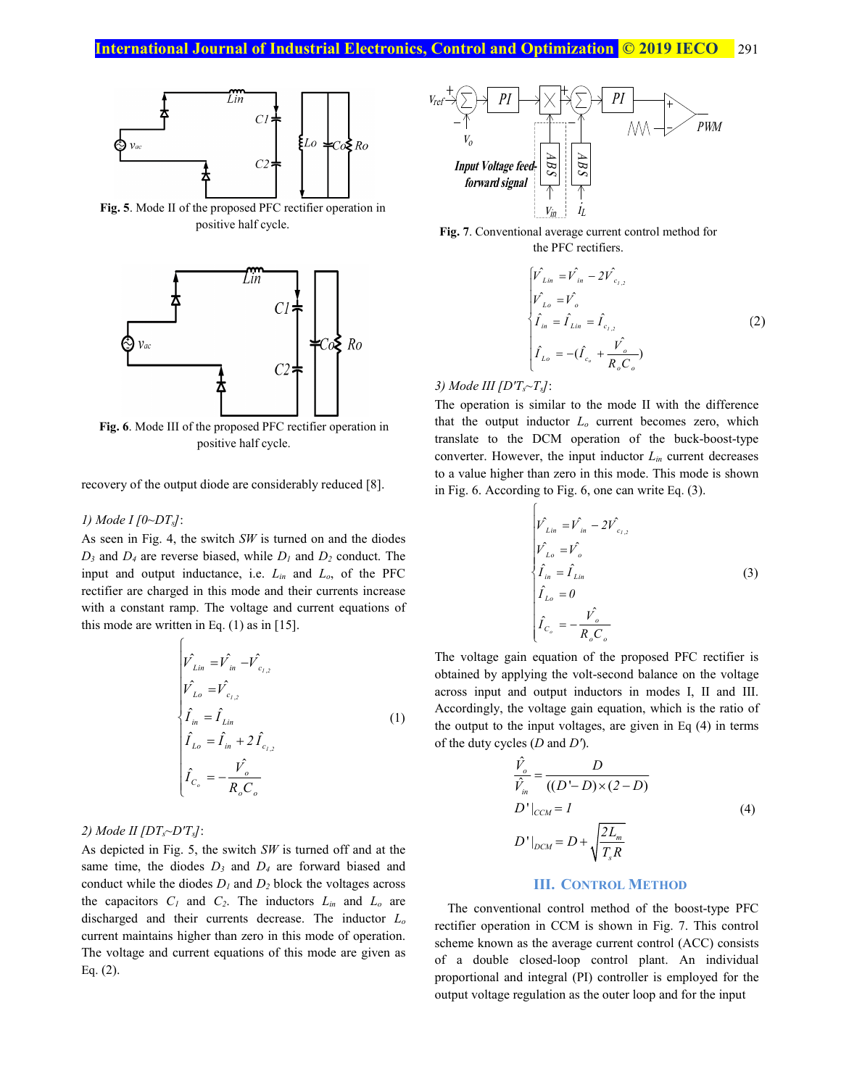

**Fig. 5**. Mode II of the proposed PFC rectifier operation in positive half cycle.



**Fig. 6**. Mode III of the proposed PFC rectifier operation in positive half cycle.

recovery of the output diode are considerably reduced [8].

#### *1) Mode I [0~DTs]*:

As seen in Fig. 4, the switch *SW* is turned on and the diodes  $D_3$  and  $D_4$  are reverse biased, while  $D_1$  and  $D_2$  conduct. The input and output inductance, i.e. *Lin* and *Lo*, of the PFC rectifier are charged in this mode and their currents increase with a constant ramp. The voltage and current equations of this mode are written in Eq.  $(1)$  as in  $[15]$ .

$$
\hat{V}_{Lin} = \hat{V}_{in} - \hat{V}_{c_{1,2}} \n\hat{V}_{Lo} = \hat{V}_{c_{1,2}} \n\hat{I}_{in} = \hat{I}_{Lin} \n\hat{I}_{Lo} = \hat{I}_{in} + 2\hat{I}_{c_{1,2}} \n\hat{I}_{C_o} = -\frac{\hat{V}_o}{R_o C_o}
$$
\n(1)

# *2) Mode II [DTs~D'Ts]*:

As depicted in Fig. 5, the switch *SW* is turned off and at the same time, the diodes  $D_3$  and  $D_4$  are forward biased and conduct while the diodes *D1* and *D2* block the voltages across the capacitors  $C_1$  and  $C_2$ . The inductors  $L_{in}$  and  $L_o$  are discharged and their currents decrease. The inductor *Lo* current maintains higher than zero in this mode of operation. The voltage and current equations of this mode are given as Eq. (2).



**Fig. 7**. Conventional average current control method for the PFC rectifiers.

$$
\begin{cases}\n\hat{V}_{Lin} = \hat{V}_{in} - 2\hat{V}_{c_{1,2}} \\
\hat{V}_{Lo} = \hat{V}_{o} \\
\hat{I}_{in} = \hat{I}_{Lin} = \hat{I}_{c_{1,2}} \\
\hat{I}_{Lo} = -(\hat{I}_{c_{o}} + \frac{\hat{V}_{o}}{R_{o}C_{o}})\n\end{cases}
$$
\n(2)

*3) Mode III [D'Ts~Ts]*:

The operation is similar to the mode II with the difference that the output inductor *Lo* current becomes zero, which translate to the DCM operation of the buck-boost-type converter. However, the input inductor *Lin* current decreases to a value higher than zero in this mode. This mode is shown in Fig. 6. According to Fig. 6, one can write Eq. (3).

$$
\hat{V}_{Lin} = \hat{V}_{in} - 2\hat{V}_{c_{1,2}}\n\hat{V}_{Lo} = \hat{V}_o\n\hat{I}_{in} = \hat{I}_{Lin}\n\hat{I}_{Lo} = 0\n\hat{I}_{Co} = -\frac{\hat{V}_o}{R_o C_o}
$$
\n(3)

The voltage gain equation of the proposed PFC rectifier is obtained by applying the volt-second balance on the voltage across input and output inductors in modes I, II and III. Accordingly, the voltage gain equation, which is the ratio of the output to the input voltages, are given in Eq (4) in terms of the duty cycles (*D* and *D'*).

$$
\frac{\hat{V}_o}{\hat{V}_{in}} = \frac{D}{((D'-D)\times(2-D)}
$$
\n
$$
D'|_{CCM} = I
$$
\n
$$
D'|_{DCM} = D + \sqrt{\frac{2L_m}{T_s R}}
$$
\n(4)

#### **III. CONTROL METHOD**

The conventional control method of the boost-type PFC rectifier operation in CCM is shown in Fig. 7. This control scheme known as the average current control (ACC) consists of a double closed-loop control plant. An individual proportional and integral (PI) controller is employed for the output voltage regulation as the outer loop and for the input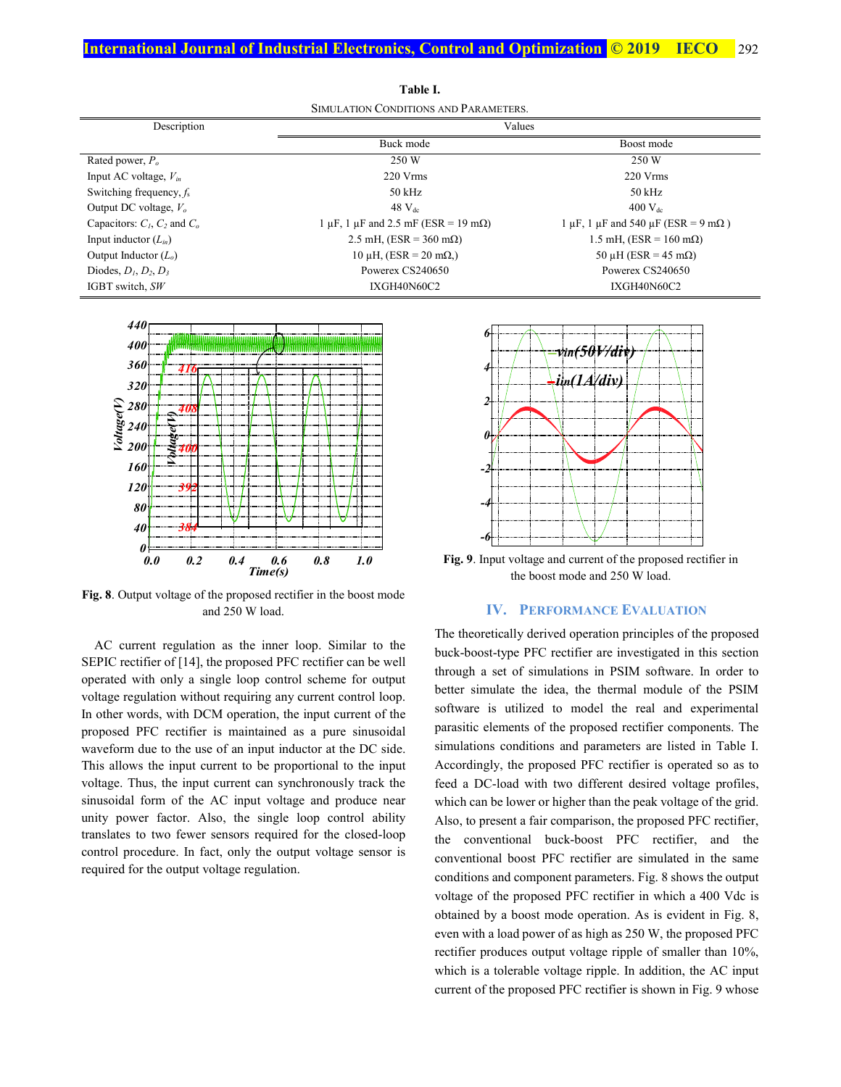| <u>DIMOLITION CONDITIONS INDITIONINI IN</u> |                                                                  |                                                            |
|---------------------------------------------|------------------------------------------------------------------|------------------------------------------------------------|
| Description                                 | Values                                                           |                                                            |
|                                             | Buck mode                                                        | Boost mode                                                 |
| Rated power, $P_o$                          | 250 W                                                            | 250 W                                                      |
| Input AC voltage, $V_{in}$                  | $220 \text{ V}$ rms                                              | $220 \text{ V} \text{rms}$                                 |
| Switching frequency, $f_s$                  | 50 kHz                                                           | $50$ kHz                                                   |
| Output DC voltage, $V_o$                    | $48$ $V_{dc}$                                                    | $400$ V <sub>dc</sub>                                      |
| Capacitors: $C_1$ , $C_2$ and $C_0$         | $1 \mu$ F, $1 \mu$ F and $2.5 \text{ mF}$ (ESR = 19 m $\Omega$ ) | 1 $\mu$ F, 1 $\mu$ F and 540 $\mu$ F (ESR = 9 m $\Omega$ ) |
| Input inductor $(L_{in})$                   | 2.5 mH, (ESR = $360$ m $\Omega$ )                                | 1.5 mH, (ESR = $160$ m $\Omega$ )                          |
| Output Inductor $(L_0)$                     | $10 \mu H$ , (ESR = 20 m $\Omega$ .)                             | 50 µH (ESR = $45 \text{ mA}$ )                             |
| Diodes, $D_1, D_2, D_3$                     | Powerex CS240650                                                 | Powerex CS240650                                           |
| IGBT switch, SW                             | IXGH40N60C2                                                      | IXGH40N60C2                                                |

**Table I.**  SIMULATION CONDITIONS AND PARAMETERS.



**Fig. 8**. Output voltage of the proposed rectifier in the boost mode and 250 W load.

AC current regulation as the inner loop. Similar to the SEPIC rectifier of [14], the proposed PFC rectifier can be well operated with only a single loop control scheme for output voltage regulation without requiring any current control loop. In other words, with DCM operation, the input current of the proposed PFC rectifier is maintained as a pure sinusoidal waveform due to the use of an input inductor at the DC side. This allows the input current to be proportional to the input voltage. Thus, the input current can synchronously track the sinusoidal form of the AC input voltage and produce near unity power factor. Also, the single loop control ability translates to two fewer sensors required for the closed-loop control procedure. In fact, only the output voltage sensor is required for the output voltage regulation.



**Fig. 9**. Input voltage and current of the proposed rectifier in the boost mode and 250 W load.

#### **IV. PERFORMANCE EVALUATION**

The theoretically derived operation principles of the proposed buck-boost-type PFC rectifier are investigated in this section through a set of simulations in PSIM software. In order to better simulate the idea, the thermal module of the PSIM software is utilized to model the real and experimental parasitic elements of the proposed rectifier components. The simulations conditions and parameters are listed in Table I. Accordingly, the proposed PFC rectifier is operated so as to feed a DC-load with two different desired voltage profiles, which can be lower or higher than the peak voltage of the grid. Also, to present a fair comparison, the proposed PFC rectifier, the conventional buck-boost PFC rectifier, and the conventional boost PFC rectifier are simulated in the same conditions and component parameters. Fig. 8 shows the output voltage of the proposed PFC rectifier in which a 400 Vdc is obtained by a boost mode operation. As is evident in Fig. 8, even with a load power of as high as 250 W, the proposed PFC rectifier produces output voltage ripple of smaller than 10%, which is a tolerable voltage ripple. In addition, the AC input current of the proposed PFC rectifier is shown in Fig. 9 whose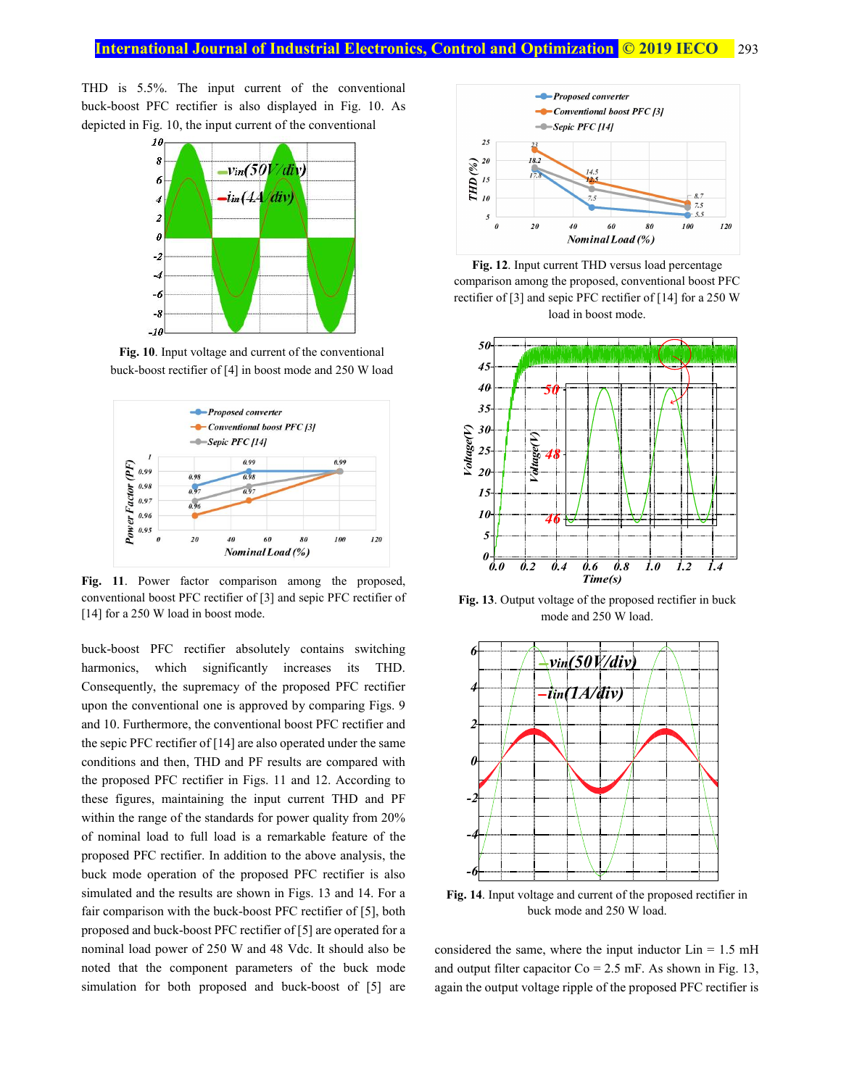THD is 5.5%. The input current of the conventional buck-boost PFC rectifier is also displayed in Fig. 10. As depicted in Fig. 10, the input current of the conventional



**Fig. 10**. Input voltage and current of the conventional buck-boost rectifier of [4] in boost mode and 250 W load



Fig. 11. Power factor comparison among the proposed, conventional boost PFC rectifier of [3] and sepic PFC rectifier of [14] for a 250 W load in boost mode.

buck-boost PFC rectifier absolutely contains switching harmonics, which significantly increases its THD. Consequently, the supremacy of the proposed PFC rectifier upon the conventional one is approved by comparing Figs. 9 and 10. Furthermore, the conventional boost PFC rectifier and the sepic PFC rectifier of [14] are also operated under the same conditions and then, THD and PF results are compared with the proposed PFC rectifier in Figs. 11 and 12. According to these figures, maintaining the input current THD and PF within the range of the standards for power quality from 20% of nominal load to full load is a remarkable feature of the proposed PFC rectifier. In addition to the above analysis, the buck mode operation of the proposed PFC rectifier is also simulated and the results are shown in Figs. 13 and 14. For a fair comparison with the buck-boost PFC rectifier of [5], both proposed and buck-boost PFC rectifier of [5] are operated for a nominal load power of 250 W and 48 Vdc. It should also be noted that the component parameters of the buck mode simulation for both proposed and buck-boost of [5] are



**Fig. 12**. Input current THD versus load percentage comparison among the proposed, conventional boost PFC rectifier of [3] and sepic PFC rectifier of [14] for a 250 W load in boost mode.



**Fig. 13**. Output voltage of the proposed rectifier in buck mode and 250 W load.



**Fig. 14**. Input voltage and current of the proposed rectifier in buck mode and 250 W load.

considered the same, where the input inductor  $Lin = 1.5$  mH and output filter capacitor  $Co = 2.5$  mF. As shown in Fig. 13, again the output voltage ripple of the proposed PFC rectifier is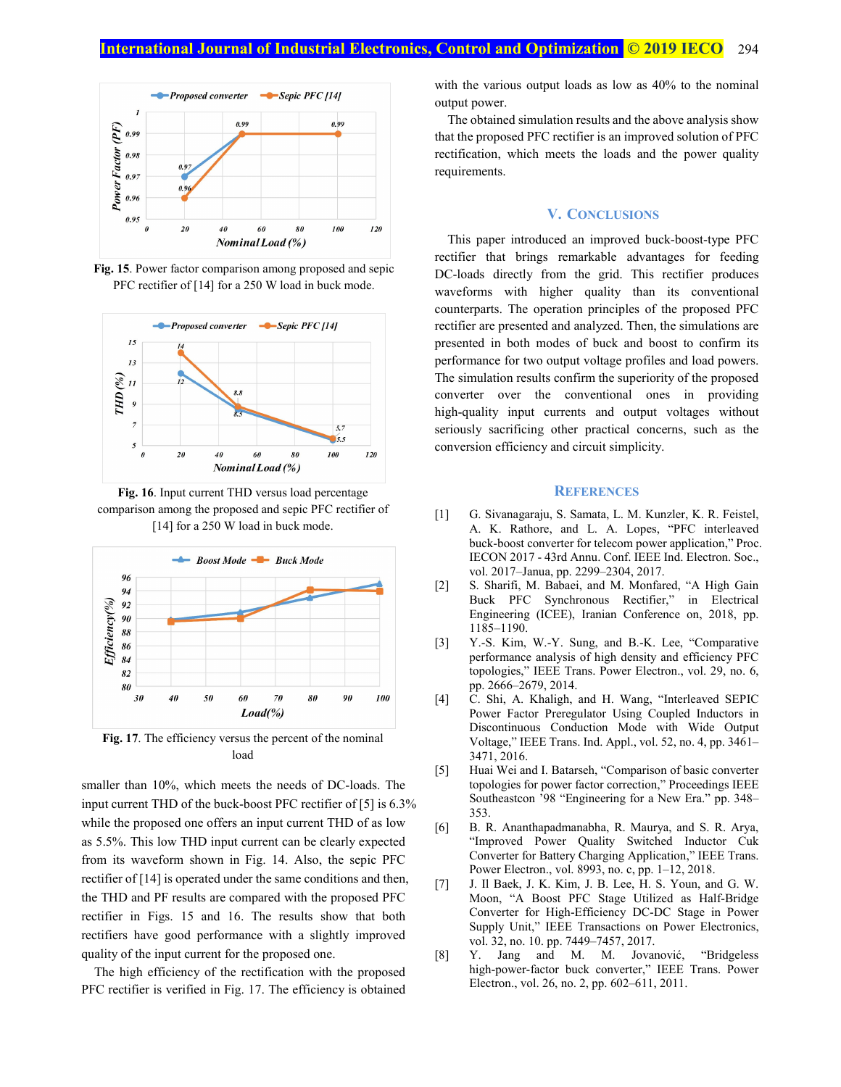

**Fig. 15**. Power factor comparison among proposed and sepic PFC rectifier of [14] for a 250 W load in buck mode.



**Fig. 16**. Input current THD versus load percentage comparison among the proposed and sepic PFC rectifier of [14] for a 250 W load in buck mode.



**Fig. 17**. The efficiency versus the percent of the nominal load

smaller than 10%, which meets the needs of DC-loads. The input current THD of the buck-boost PFC rectifier of [5] is 6.3% while the proposed one offers an input current THD of as low as 5.5%. This low THD input current can be clearly expected from its waveform shown in Fig. 14. Also, the sepic PFC rectifier of [14] is operated under the same conditions and then, the THD and PF results are compared with the proposed PFC rectifier in Figs. 15 and 16. The results show that both rectifiers have good performance with a slightly improved quality of the input current for the proposed one.

The high efficiency of the rectification with the proposed PFC rectifier is verified in Fig. 17. The efficiency is obtained with the various output loads as low as 40% to the nominal output power.

The obtained simulation results and the above analysis show that the proposed PFC rectifier is an improved solution of PFC rectification, which meets the loads and the power quality requirements.

## **V. CONCLUSIONS**

This paper introduced an improved buck-boost-type PFC rectifier that brings remarkable advantages for feeding DC-loads directly from the grid. This rectifier produces waveforms with higher quality than its conventional counterparts. The operation principles of the proposed PFC rectifier are presented and analyzed. Then, the simulations are presented in both modes of buck and boost to confirm its performance for two output voltage profiles and load powers. The simulation results confirm the superiority of the proposed converter over the conventional ones in providing high-quality input currents and output voltages without seriously sacrificing other practical concerns, such as the conversion efficiency and circuit simplicity.

## **REFERENCES**

- [1] G. Sivanagaraju, S. Samata, L. M. Kunzler, K. R. Feistel, A. K. Rathore, and L. A. Lopes, "PFC interleaved buck-boost converter for telecom power application," Proc. IECON 2017 - 43rd Annu. Conf. IEEE Ind. Electron. Soc., vol. 2017–Janua, pp. 2299–2304, 2017.
- [2] S. Sharifi, M. Babaei, and M. Monfared, "A High Gain Buck PFC Synchronous Rectifier," in Electrical Engineering (ICEE), Iranian Conference on, 2018, pp. 1185–1190.
- [3] Y.-S. Kim, W.-Y. Sung, and B.-K. Lee, "Comparative performance analysis of high density and efficiency PFC topologies," IEEE Trans. Power Electron., vol. 29, no. 6, pp. 2666–2679, 2014.
- [4] C. Shi, A. Khaligh, and H. Wang, "Interleaved SEPIC Power Factor Preregulator Using Coupled Inductors in Discontinuous Conduction Mode with Wide Output Voltage," IEEE Trans. Ind. Appl., vol. 52, no. 4, pp. 3461– 3471, 2016.
- [5] Huai Wei and I. Batarseh, "Comparison of basic converter topologies for power factor correction," Proceedings IEEE Southeastcon '98 "Engineering for a New Era." pp. 348– 353.
- [6] B. R. Ananthapadmanabha, R. Maurya, and S. R. Arya, "Improved Power Quality Switched Inductor Cuk Converter for Battery Charging Application," IEEE Trans. Power Electron., vol. 8993, no. c, pp. 1–12, 2018.
- [7] J. Il Baek, J. K. Kim, J. B. Lee, H. S. Youn, and G. W. Moon, "A Boost PFC Stage Utilized as Half-Bridge Converter for High-Efficiency DC-DC Stage in Power Supply Unit," IEEE Transactions on Power Electronics, vol. 32, no. 10. pp. 7449–7457, 2017.
- [8] Y. Jang and M. M. Jovanović, "Bridgeless high-power-factor buck converter," IEEE Trans. Power Electron., vol. 26, no. 2, pp. 602–611, 2011.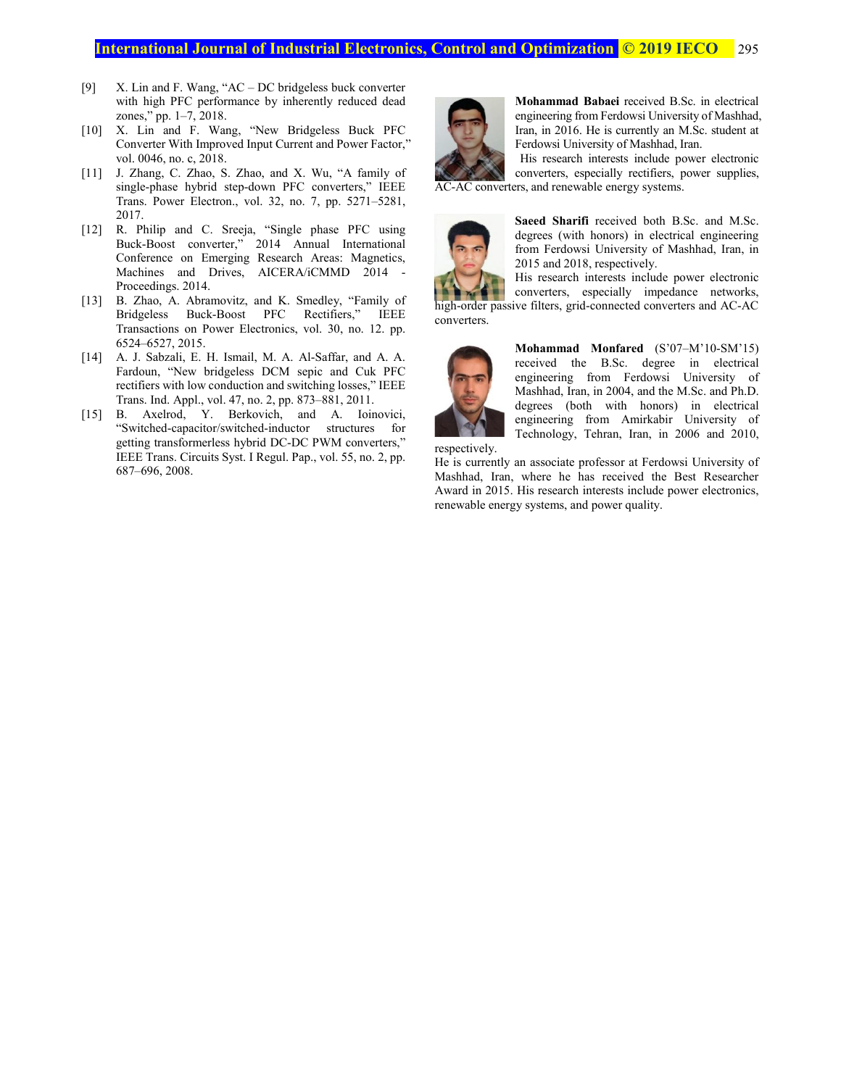- [9] X. Lin and F. Wang, "AC DC bridgeless buck converter with high PFC performance by inherently reduced dead zones," pp. 1–7, 2018.
- [10] X. Lin and F. Wang, "New Bridgeless Buck PFC Converter With Improved Input Current and Power Factor," vol. 0046, no. c, 2018.
- [11] J. Zhang, C. Zhao, S. Zhao, and X. Wu, "A family of single-phase hybrid step-down PFC converters," IEEE Trans. Power Electron., vol. 32, no. 7, pp. 5271–5281, 2017.
- [12] R. Philip and C. Sreeja, "Single phase PFC using Buck-Boost converter," 2014 Annual International Conference on Emerging Research Areas: Magnetics, Machines and Drives, AICERA/iCMMD 2014 - Proceedings. 2014.
- [13] B. Zhao, A. Abramovitz, and K. Smedley, "Family of Bridgeless Buck-Boost PFC Rectifiers," IEEE Transactions on Power Electronics, vol. 30, no. 12. pp. 6524–6527, 2015.
- [14] A. J. Sabzali, E. H. Ismail, M. A. Al-Saffar, and A. A. Fardoun, "New bridgeless DCM sepic and Cuk PFC rectifiers with low conduction and switching losses," IEEE Trans. Ind. Appl., vol. 47, no. 2, pp. 873–881, 2011.
- [15] B. Axelrod, Y. Berkovich, and A. Ioinovici, "Switched-capacitor/switched-inductor structures for getting transformerless hybrid DC-DC PWM converters," IEEE Trans. Circuits Syst. I Regul. Pap., vol. 55, no. 2, pp. 687–696, 2008.



**Mohammad Babaei** received B.Sc. in electrical engineering from Ferdowsi University of Mashhad, Iran, in 2016. He is currently an M.Sc. student at Ferdowsi University of Mashhad, Iran.

 His research interests include power electronic converters, especially rectifiers, power supplies, AC-AC converters, and renewable energy systems.



**Saeed Sharifi** received both B.Sc. and M.Sc. degrees (with honors) in electrical engineering from Ferdowsi University of Mashhad, Iran, in 2015 and 2018, respectively.

His research interests include power electronic converters, especially impedance networks,

high-order passive filters, grid-connected converters and AC-AC converters.



**Mohammad Monfared** (S'07–M'10-SM'15) received the B.Sc. degree in electrical engineering from Ferdowsi University of Mashhad, Iran, in 2004, and the M.Sc. and Ph.D. degrees (both with honors) in electrical engineering from Amirkabir University of Technology, Tehran, Iran, in 2006 and 2010,

respectively.

He is currently an associate professor at Ferdowsi University of Mashhad, Iran, where he has received the Best Researcher Award in 2015. His research interests include power electronics, renewable energy systems, and power quality.